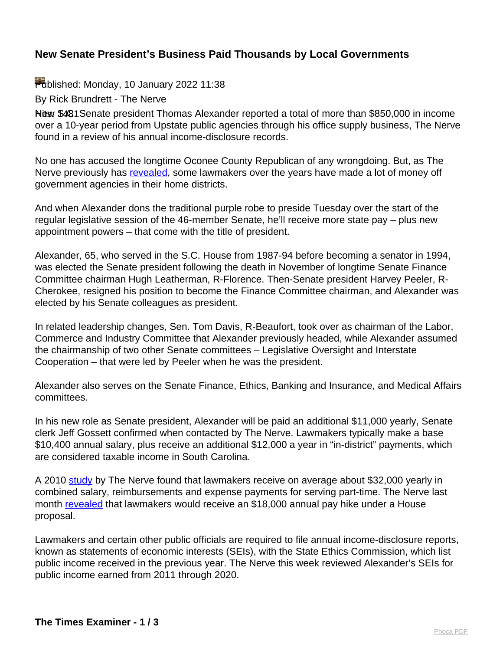## **New Senate President's Business Paid Thousands by Local Governments**

Published: Monday, 10 January 2022 11:38

By Rick Brundrett - The Nerve

New \$481 Senate president Thomas Alexander reported a total of more than \$850,000 in income over a 10-year period from Upstate public agencies through his office supply business, The Nerve found in a review of his annual income-disclosure records.

No one has accused the longtime Oconee County Republican of any wrongdoing. But, as The Nerve previously has [revealed,](https://thenerve.org/s-c-lawmakers-businesses-paid-thousands-by-local-governments/) some lawmakers over the years have made a lot of money off government agencies in their home districts.

And when Alexander dons the traditional purple robe to preside Tuesday over the start of the regular legislative session of the 46-member Senate, he'll receive more state pay – plus new appointment powers – that come with the title of president.

Alexander, 65, who served in the S.C. House from 1987-94 before becoming a senator in 1994, was elected the Senate president following the death in November of longtime Senate Finance Committee chairman Hugh Leatherman, R-Florence. Then-Senate president Harvey Peeler, R-Cherokee, resigned his position to become the Finance Committee chairman, and Alexander was elected by his Senate colleagues as president.

In related leadership changes, Sen. Tom Davis, R-Beaufort, took over as chairman of the Labor, Commerce and Industry Committee that Alexander previously headed, while Alexander assumed the chairmanship of two other Senate committees – Legislative Oversight and Interstate Cooperation – that were led by Peeler when he was the president.

Alexander also serves on the Senate Finance, Ethics, Banking and Insurance, and Medical Affairs committees.

In his new role as Senate president, Alexander will be paid an additional \$11,000 yearly, Senate clerk Jeff Gossett confirmed when contacted by The Nerve. Lawmakers typically make a base \$10,400 annual salary, plus receive an additional \$12,000 a year in "in-district" payments, which are considered taxable income in South Carolina.

A 2010 [study](https://thenerve.org/legislators-get-an-average-32k-per-year/) by The Nerve found that lawmakers receive on average about \$32,000 yearly in combined salary, reimbursements and expense payments for serving part-time. The Nerve last month [revealed](https://thenerve.org/house-member-proposes-big-pay-hike-for-lawmakers/) that lawmakers would receive an \$18,000 annual pay hike under a House proposal.

Lawmakers and certain other public officials are required to file annual income-disclosure reports, known as statements of economic interests (SEIs), with the State Ethics Commission, which list public income received in the previous year. The Nerve this week reviewed Alexander's SEIs for public income earned from 2011 through 2020.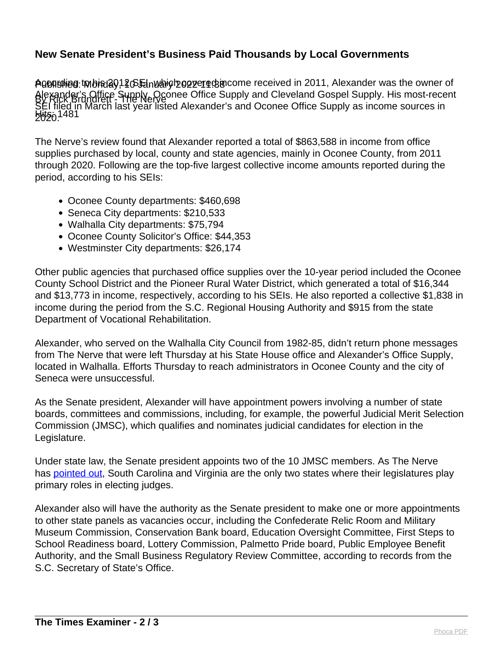## **New Senate President's Business Paid Thousands by Local Governments**

Agenshieg twbiନ୍ଧ୍ୟି 01 4 GE inwarich concerts in correctived in 2011, Alexander was the owner of By Rick Brundrett - The Nerve Alexander's Office Supply, Oconee Office Supply and Cleveland Gospel Supply. His most-recent **EU20.1481** SEI filed in March last year listed Alexander's and Oconee Office Supply as income sources in

The Nerve's review found that Alexander reported a total of \$863,588 in income from office supplies purchased by local, county and state agencies, mainly in Oconee County, from 2011 through 2020. Following are the top-five largest collective income amounts reported during the period, according to his SEIs:

- Oconee County departments: \$460,698
- Seneca City departments: \$210,533
- Walhalla City departments: \$75,794
- Oconee County Solicitor's Office: \$44,353
- Westminster City departments: \$26,174

Other public agencies that purchased office supplies over the 10-year period included the Oconee County School District and the Pioneer Rural Water District, which generated a total of \$16,344 and \$13,773 in income, respectively, according to his SEIs. He also reported a collective \$1,838 in income during the period from the S.C. Regional Housing Authority and \$915 from the state Department of Vocational Rehabilitation.

Alexander, who served on the Walhalla City Council from 1982-85, didn't return phone messages from The Nerve that were left Thursday at his State House office and Alexander's Office Supply, located in Walhalla. Efforts Thursday to reach administrators in Oconee County and the city of Seneca were unsuccessful.

As the Senate president, Alexander will have appointment powers involving a number of state boards, committees and commissions, including, for example, the powerful Judicial Merit Selection Commission (JMSC), which qualifies and nominates judicial candidates for election in the Legislature.

Under state law, the Senate president appoints two of the 10 JMSC members. As The Nerve has **pointed out**, South Carolina and Virginia are the only two states where their legislatures play primary roles in electing judges.

Alexander also will have the authority as the Senate president to make one or more appointments to other state panels as vacancies occur, including the Confederate Relic Room and Military Museum Commission, Conservation Bank board, Education Oversight Committee, First Steps to School Readiness board, Lottery Commission, Palmetto Pride board, Public Employee Benefit Authority, and the Small Business Regulatory Review Committee, according to records from the S.C. Secretary of State's Office.